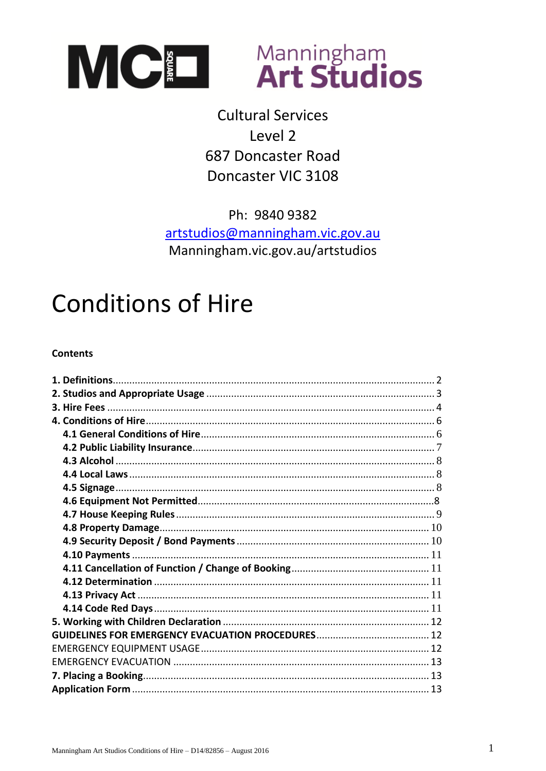



## **Cultural Services** Level 2 687 Doncaster Road Doncaster VIC 3108

Ph: 9840 9382 artstudios@manningham.vic.gov.au Manningham.vic.gov.au/artstudios

## **Conditions of Hire**

#### **Contents**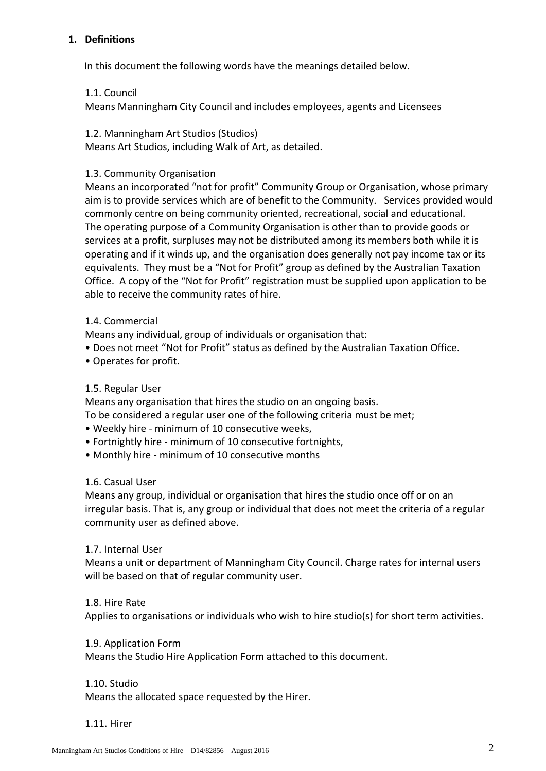#### <span id="page-1-0"></span>**1. Definitions**

In this document the following words have the meanings detailed below.

#### 1.1. Council

Means Manningham City Council and includes employees, agents and Licensees

#### 1.2. Manningham Art Studios (Studios)

Means Art Studios, including Walk of Art, as detailed.

#### 1.3. Community Organisation

Means an incorporated "not for profit" Community Group or Organisation, whose primary aim is to provide services which are of benefit to the Community. Services provided would commonly centre on being community oriented, recreational, social and educational. The operating purpose of a Community Organisation is other than to provide goods or services at a profit, surpluses may not be distributed among its members both while it is operating and if it winds up, and the organisation does generally not pay income tax or its equivalents. They must be a "Not for Profit" group as defined by the Australian Taxation Office. A copy of the "Not for Profit" registration must be supplied upon application to be able to receive the community rates of hire.

#### 1.4. Commercial

Means any individual, group of individuals or organisation that:

• Does not meet "Not for Profit" status as defined by the Australian Taxation Office.

• Operates for profit.

#### 1.5. Regular User

Means any organisation that hires the studio on an ongoing basis.

To be considered a regular user one of the following criteria must be met;

- Weekly hire minimum of 10 consecutive weeks,
- Fortnightly hire minimum of 10 consecutive fortnights,
- Monthly hire minimum of 10 consecutive months

#### 1.6. Casual User

Means any group, individual or organisation that hires the studio once off or on an irregular basis. That is, any group or individual that does not meet the criteria of a regular community user as defined above.

#### 1.7. Internal User

Means a unit or department of Manningham City Council. Charge rates for internal users will be based on that of regular community user.

#### 1.8. Hire Rate

Applies to organisations or individuals who wish to hire studio(s) for short term activities.

1.9. Application Form

Means the Studio Hire Application Form attached to this document.

#### 1.10. Studio

Means the allocated space requested by the Hirer.

#### 1.11. Hirer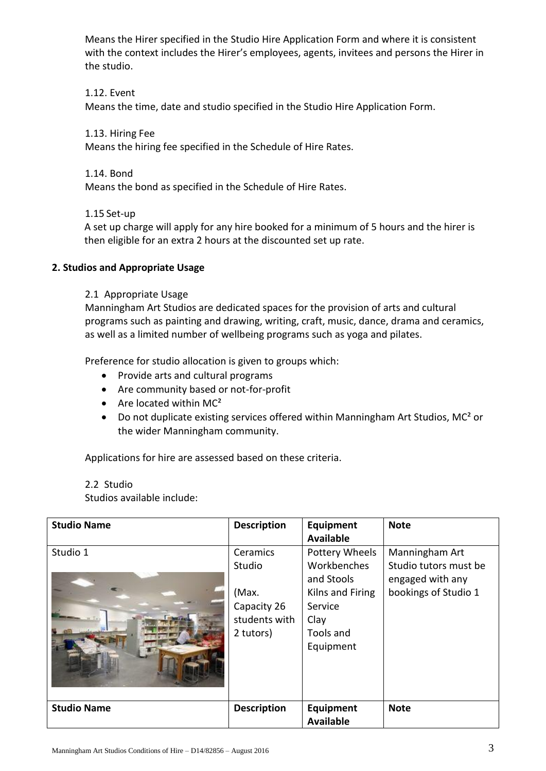Means the Hirer specified in the Studio Hire Application Form and where it is consistent with the context includes the Hirer's employees, agents, invitees and persons the Hirer in the studio.

1.12. Event

Means the time, date and studio specified in the Studio Hire Application Form.

1.13. Hiring Fee

Means the hiring fee specified in the Schedule of Hire Rates.

1.14. Bond

Means the bond as specified in the Schedule of Hire Rates.

1.15 Set-up

A set up charge will apply for any hire booked for a minimum of 5 hours and the hirer is then eligible for an extra 2 hours at the discounted set up rate.

#### <span id="page-2-0"></span>**2. Studios and Appropriate Usage**

#### 2.1 Appropriate Usage

Manningham Art Studios are dedicated spaces for the provision of arts and cultural programs such as painting and drawing, writing, craft, music, dance, drama and ceramics, as well as a limited number of wellbeing programs such as yoga and pilates.

Preference for studio allocation is given to groups which:

- Provide arts and cultural programs
- Are community based or not-for-profit
- Are located within  $MC<sup>2</sup>$
- Do not duplicate existing services offered within Manningham Art Studios, MC<sup>2</sup> or the wider Manningham community.

Applications for hire are assessed based on these criteria.

#### 2.2 Studio

Studios available include:

| <b>Studio Name</b> | <b>Description</b>                                                              | <b>Equipment</b><br><b>Available</b>                                                                         | <b>Note</b>                                                                         |
|--------------------|---------------------------------------------------------------------------------|--------------------------------------------------------------------------------------------------------------|-------------------------------------------------------------------------------------|
| Studio 1           | Ceramics<br><b>Studio</b><br>(Max.<br>Capacity 26<br>students with<br>2 tutors) | Pottery Wheels<br>Workbenches<br>and Stools<br>Kilns and Firing<br>Service<br>Clay<br>Tools and<br>Equipment | Manningham Art<br>Studio tutors must be<br>engaged with any<br>bookings of Studio 1 |
| <b>Studio Name</b> | <b>Description</b>                                                              | <b>Equipment</b><br><b>Available</b>                                                                         | <b>Note</b>                                                                         |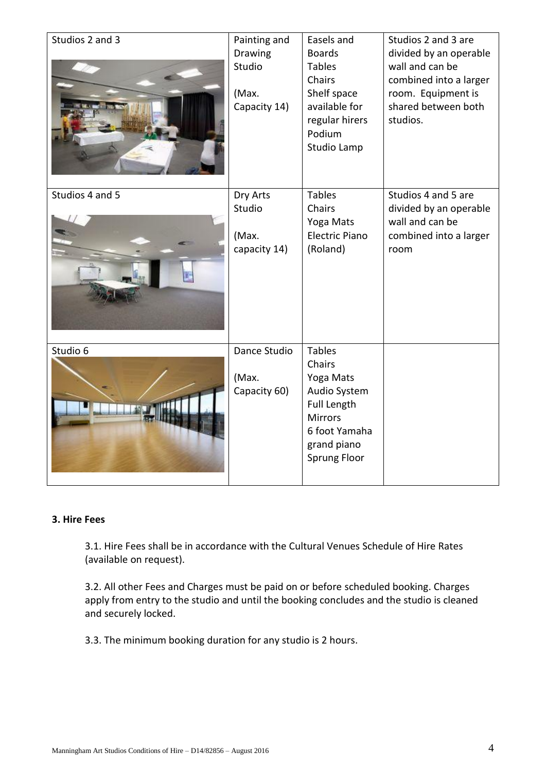| Studios 2 and 3 | Painting and<br>Drawing<br>Studio<br>(Max.<br>Capacity 14) | Easels and<br><b>Boards</b><br><b>Tables</b><br>Chairs<br>Shelf space<br>available for<br>regular hirers<br>Podium<br>Studio Lamp            | Studios 2 and 3 are<br>divided by an operable<br>wall and can be<br>combined into a larger<br>room. Equipment is<br>shared between both<br>studios. |
|-----------------|------------------------------------------------------------|----------------------------------------------------------------------------------------------------------------------------------------------|-----------------------------------------------------------------------------------------------------------------------------------------------------|
| Studios 4 and 5 | Dry Arts<br>Studio<br>(Max.<br>capacity 14)                | <b>Tables</b><br>Chairs<br>Yoga Mats<br><b>Electric Piano</b><br>(Roland)                                                                    | Studios 4 and 5 are<br>divided by an operable<br>wall and can be<br>combined into a larger<br>room                                                  |
| Studio 6        | Dance Studio<br>(Max.<br>Capacity 60)                      | <b>Tables</b><br>Chairs<br>Yoga Mats<br>Audio System<br><b>Full Length</b><br><b>Mirrors</b><br>6 foot Yamaha<br>grand piano<br>Sprung Floor |                                                                                                                                                     |

#### <span id="page-3-0"></span>**3. Hire Fees**

3.1. Hire Fees shall be in accordance with the Cultural Venues Schedule of Hire Rates (available on request).

3.2. All other Fees and Charges must be paid on or before scheduled booking. Charges apply from entry to the studio and until the booking concludes and the studio is cleaned and securely locked.

3.3. The minimum booking duration for any studio is 2 hours.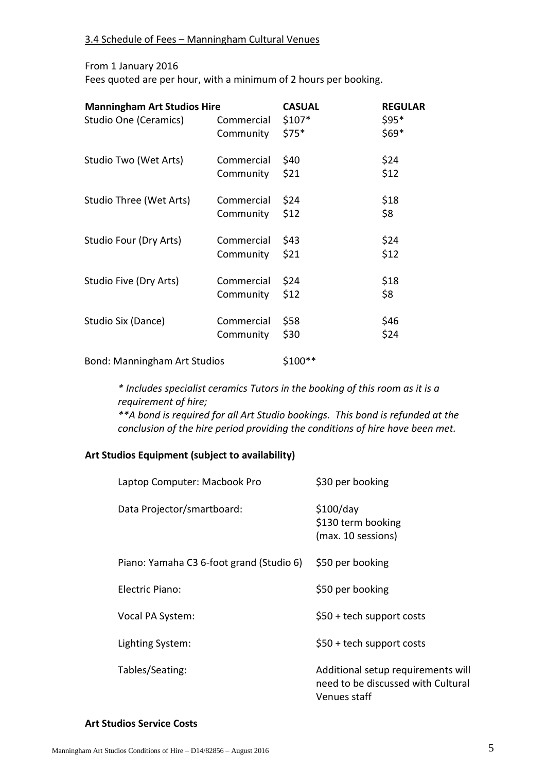#### From 1 January 2016

Fees quoted are per hour, with a minimum of 2 hours per booking.

| <b>Manningham Art Studios Hire</b><br>Studio One (Ceramics) | Commercial<br>Community | <b>CASUAL</b><br>$$107*$<br>$$75*$ | <b>REGULAR</b><br>$$95*$<br>$$69*$ |
|-------------------------------------------------------------|-------------------------|------------------------------------|------------------------------------|
| Studio Two (Wet Arts)                                       | Commercial              | \$40                               | \$24                               |
|                                                             | Community               | \$21                               | \$12                               |
| Studio Three (Wet Arts)                                     | Commercial              | \$24                               | \$18                               |
|                                                             | Community               | \$12                               | \$8                                |
| Studio Four (Dry Arts)                                      | Commercial              | \$43                               | \$24                               |
|                                                             | Community               | \$21                               | \$12                               |
| Studio Five (Dry Arts)                                      | Commercial              | \$24                               | \$18                               |
|                                                             | Community               | \$12                               | \$8                                |
| Studio Six (Dance)                                          | Commercial              | \$58                               | \$46                               |
|                                                             | Community               | \$30                               | \$24                               |

Bond: Manningham Art Studios  $$100**$ 

*\* Includes specialist ceramics Tutors in the booking of this room as it is a requirement of hire; \*\*A bond is required for all Art Studio bookings. This bond is refunded at the conclusion of the hire period providing the conditions of hire have been met.*

#### **Art Studios Equipment (subject to availability)**

| Laptop Computer: Macbook Pro             | \$30 per booking                                                                         |
|------------------------------------------|------------------------------------------------------------------------------------------|
| Data Projector/smartboard:               | \$100/day<br>\$130 term booking<br>(max. 10 sessions)                                    |
| Piano: Yamaha C3 6-foot grand (Studio 6) | \$50 per booking                                                                         |
| Flectric Piano:                          | \$50 per booking                                                                         |
| Vocal PA System:                         | $$50 + \text{tech support costs}$                                                        |
| Lighting System:                         | $$50 + \text{tech}$ support costs                                                        |
| Tables/Seating:                          | Additional setup requirements will<br>need to be discussed with Cultural<br>Venues staff |

#### **Art Studios Service Costs**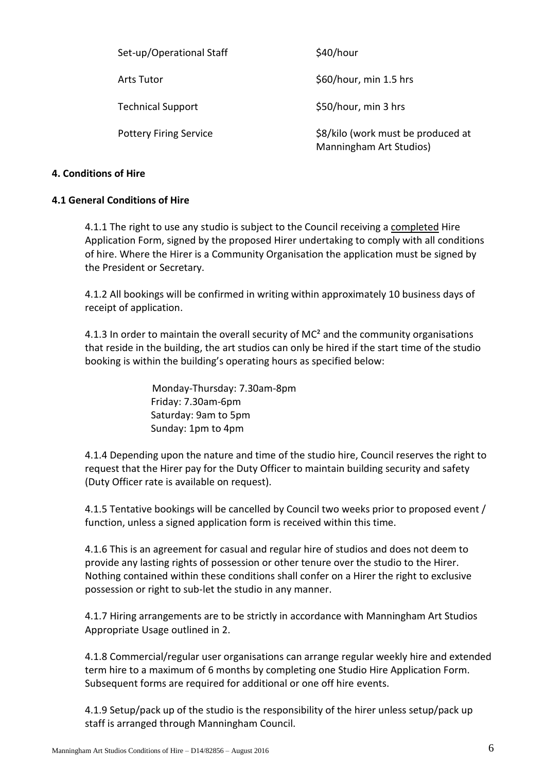| Set-up/Operational Staff      | \$40/hour                                                     |
|-------------------------------|---------------------------------------------------------------|
| Arts Tutor                    | \$60/hour, min 1.5 hrs                                        |
| <b>Technical Support</b>      | \$50/hour, min 3 hrs                                          |
| <b>Pottery Firing Service</b> | \$8/kilo (work must be produced at<br>Manningham Art Studios) |

#### <span id="page-5-0"></span>**4. Conditions of Hire**

#### <span id="page-5-1"></span>**4.1 General Conditions of Hire**

4.1.1 The right to use any studio is subject to the Council receiving a completed Hire Application Form, signed by the proposed Hirer undertaking to comply with all conditions of hire. Where the Hirer is a Community Organisation the application must be signed by the President or Secretary.

4.1.2 All bookings will be confirmed in writing within approximately 10 business days of receipt of application.

4.1.3 In order to maintain the overall security of MC<sup>2</sup> and the community organisations that reside in the building, the art studios can only be hired if the start time of the studio booking is within the building's operating hours as specified below:

> Monday-Thursday: 7.30am-8pm Friday: 7.30am-6pm Saturday: 9am to 5pm Sunday: 1pm to 4pm

4.1.4 Depending upon the nature and time of the studio hire, Council reserves the right to request that the Hirer pay for the Duty Officer to maintain building security and safety (Duty Officer rate is available on request).

4.1.5 Tentative bookings will be cancelled by Council two weeks prior to proposed event / function, unless a signed application form is received within this time.

4.1.6 This is an agreement for casual and regular hire of studios and does not deem to provide any lasting rights of possession or other tenure over the studio to the Hirer. Nothing contained within these conditions shall confer on a Hirer the right to exclusive possession or right to sub-let the studio in any manner.

4.1.7 Hiring arrangements are to be strictly in accordance with Manningham Art Studios Appropriate Usage outlined in 2.

4.1.8 Commercial/regular user organisations can arrange regular weekly hire and extended term hire to a maximum of 6 months by completing one Studio Hire Application Form. Subsequent forms are required for additional or one off hire events.

4.1.9 Setup/pack up of the studio is the responsibility of the hirer unless setup/pack up staff is arranged through Manningham Council.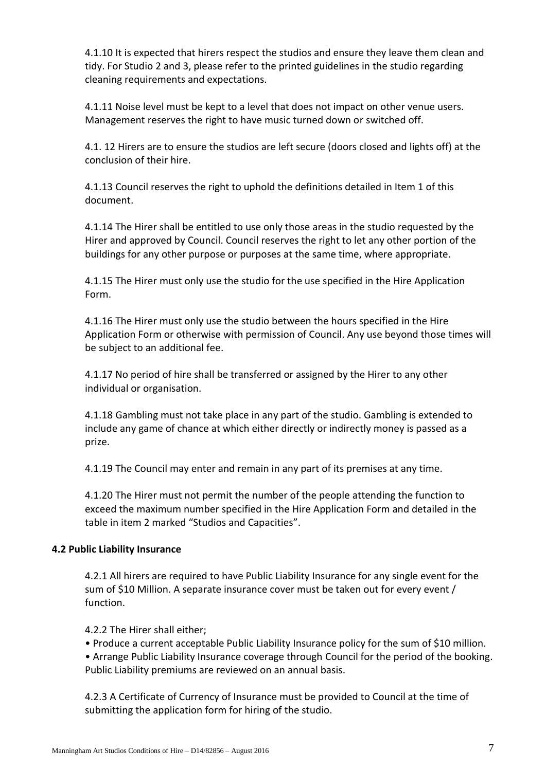4.1.10 It is expected that hirers respect the studios and ensure they leave them clean and tidy. For Studio 2 and 3, please refer to the printed guidelines in the studio regarding cleaning requirements and expectations.

4.1.11 Noise level must be kept to a level that does not impact on other venue users. Management reserves the right to have music turned down or switched off.

4.1. 12 Hirers are to ensure the studios are left secure (doors closed and lights off) at the conclusion of their hire.

4.1.13 Council reserves the right to uphold the definitions detailed in Item 1 of this document.

4.1.14 The Hirer shall be entitled to use only those areas in the studio requested by the Hirer and approved by Council. Council reserves the right to let any other portion of the buildings for any other purpose or purposes at the same time, where appropriate.

4.1.15 The Hirer must only use the studio for the use specified in the Hire Application Form.

4.1.16 The Hirer must only use the studio between the hours specified in the Hire Application Form or otherwise with permission of Council. Any use beyond those times will be subject to an additional fee.

4.1.17 No period of hire shall be transferred or assigned by the Hirer to any other individual or organisation.

4.1.18 Gambling must not take place in any part of the studio. Gambling is extended to include any game of chance at which either directly or indirectly money is passed as a prize.

4.1.19 The Council may enter and remain in any part of its premises at any time.

4.1.20 The Hirer must not permit the number of the people attending the function to exceed the maximum number specified in the Hire Application Form and detailed in the table in item 2 marked "Studios and Capacities".

#### <span id="page-6-0"></span>**4.2 Public Liability Insurance**

4.2.1 All hirers are required to have Public Liability Insurance for any single event for the sum of \$10 Million. A separate insurance cover must be taken out for every event / function.

4.2.2 The Hirer shall either;

• Produce a current acceptable Public Liability Insurance policy for the sum of \$10 million.

• Arrange Public Liability Insurance coverage through Council for the period of the booking. Public Liability premiums are reviewed on an annual basis.

4.2.3 A Certificate of Currency of Insurance must be provided to Council at the time of submitting the application form for hiring of the studio.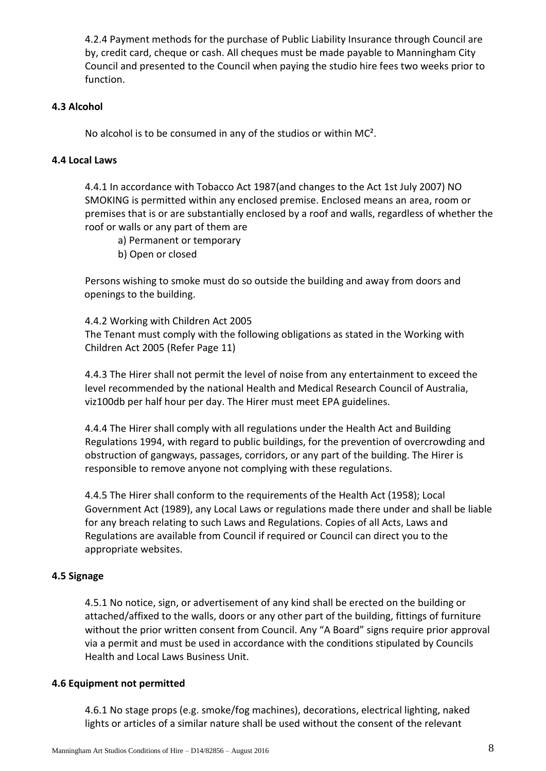4.2.4 Payment methods for the purchase of Public Liability Insurance through Council are by, credit card, cheque or cash. All cheques must be made payable to Manningham City Council and presented to the Council when paying the studio hire fees two weeks prior to function.

#### <span id="page-7-0"></span>**4.3 Alcohol**

No alcohol is to be consumed in any of the studios or within MC².

#### <span id="page-7-1"></span>**4.4 Local Laws**

4.4.1 In accordance with Tobacco Act 1987(and changes to the Act 1st July 2007) NO SMOKING is permitted within any enclosed premise. Enclosed means an area, room or premises that is or are substantially enclosed by a roof and walls, regardless of whether the roof or walls or any part of them are

a) Permanent or temporary

b) Open or closed

Persons wishing to smoke must do so outside the building and away from doors and openings to the building.

4.4.2 Working with Children Act 2005 The Tenant must comply with the following obligations as stated in the Working with Children Act 2005 (Refer Page 11)

4.4.3 The Hirer shall not permit the level of noise from any entertainment to exceed the level recommended by the national Health and Medical Research Council of Australia, viz100db per half hour per day. The Hirer must meet EPA guidelines.

4.4.4 The Hirer shall comply with all regulations under the Health Act and Building Regulations 1994, with regard to public buildings, for the prevention of overcrowding and obstruction of gangways, passages, corridors, or any part of the building. The Hirer is responsible to remove anyone not complying with these regulations.

4.4.5 The Hirer shall conform to the requirements of the Health Act (1958); Local Government Act (1989), any Local Laws or regulations made there under and shall be liable for any breach relating to such Laws and Regulations. Copies of all Acts, Laws and Regulations are available from Council if required or Council can direct you to the appropriate websites.

#### <span id="page-7-2"></span>**4.5 Signage**

4.5.1 No notice, sign, or advertisement of any kind shall be erected on the building or attached/affixed to the walls, doors or any other part of the building, fittings of furniture without the prior written consent from Council. Any "A Board" signs require prior approval via a permit and must be used in accordance with the conditions stipulated by Councils Health and Local Laws Business Unit.

#### **4.6 Equipment not permitted**

4.6.1 No stage props (e.g. smoke/fog machines), decorations, electrical lighting, naked lights or articles of a similar nature shall be used without the consent of the relevant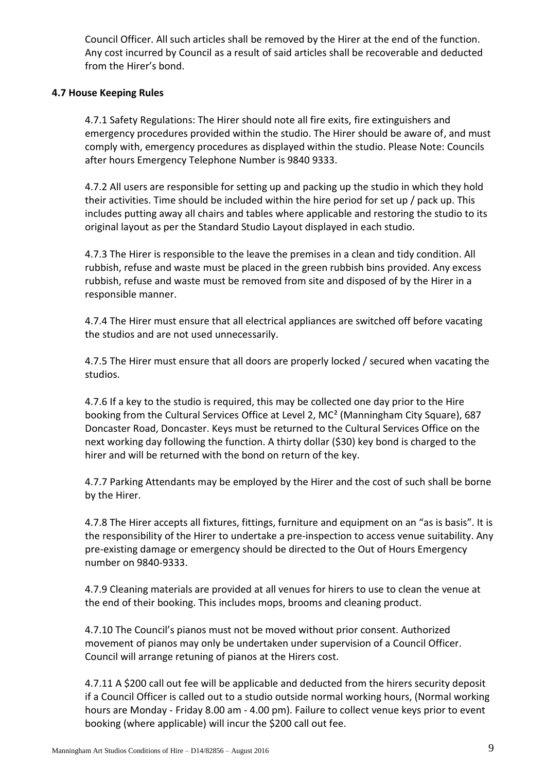Council Officer. All such articles shall be removed by the Hirer at the end of the function. Any cost incurred by Council as a result of said articles shall be recoverable and deducted from the Hirer's bond.

#### <span id="page-8-0"></span>**4.7 House Keeping Rules**

4.7.1 Safety Regulations: The Hirer should note all fire exits, fire extinguishers and emergency procedures provided within the studio. The Hirer should be aware of, and must comply with, emergency procedures as displayed within the studio. Please Note: Councils after hours Emergency Telephone Number is 9840 9333.

4.7.2 All users are responsible for setting up and packing up the studio in which they hold their activities. Time should be included within the hire period for set up / pack up. This includes putting away all chairs and tables where applicable and restoring the studio to its original layout as per the Standard Studio Layout displayed in each studio.

4.7.3 The Hirer is responsible to the leave the premises in a clean and tidy condition. All rubbish, refuse and waste must be placed in the green rubbish bins provided. Any excess rubbish, refuse and waste must be removed from site and disposed of by the Hirer in a responsible manner.

4.7.4 The Hirer must ensure that all electrical appliances are switched off before vacating the studios and are not used unnecessarily.

4.7.5 The Hirer must ensure that all doors are properly locked / secured when vacating the studios.

4.7.6 If a key to the studio is required, this may be collected one day prior to the Hire booking from the Cultural Services Office at Level 2, MC² (Manningham City Square), 687 Doncaster Road, Doncaster. Keys must be returned to the Cultural Services Office on the next working day following the function. A thirty dollar (\$30) key bond is charged to the hirer and will be returned with the bond on return of the key.

4.7.7 Parking Attendants may be employed by the Hirer and the cost of such shall be borne by the Hirer.

4.7.8 The Hirer accepts all fixtures, fittings, furniture and equipment on an "as is basis". It is the responsibility of the Hirer to undertake a pre-inspection to access venue suitability. Any pre-existing damage or emergency should be directed to the Out of Hours Emergency number on 9840-9333.

4.7.9 Cleaning materials are provided at all venues for hirers to use to clean the venue at the end of their booking. This includes mops, brooms and cleaning product.

4.7.10 The Council's pianos must not be moved without prior consent. Authorized movement of pianos may only be undertaken under supervision of a Council Officer. Council will arrange retuning of pianos at the Hirers cost.

4.7.11 A \$200 call out fee will be applicable and deducted from the hirers security deposit if a Council Officer is called out to a studio outside normal working hours, (Normal working hours are Monday - Friday 8.00 am - 4.00 pm). Failure to collect venue keys prior to event booking (where applicable) will incur the \$200 call out fee.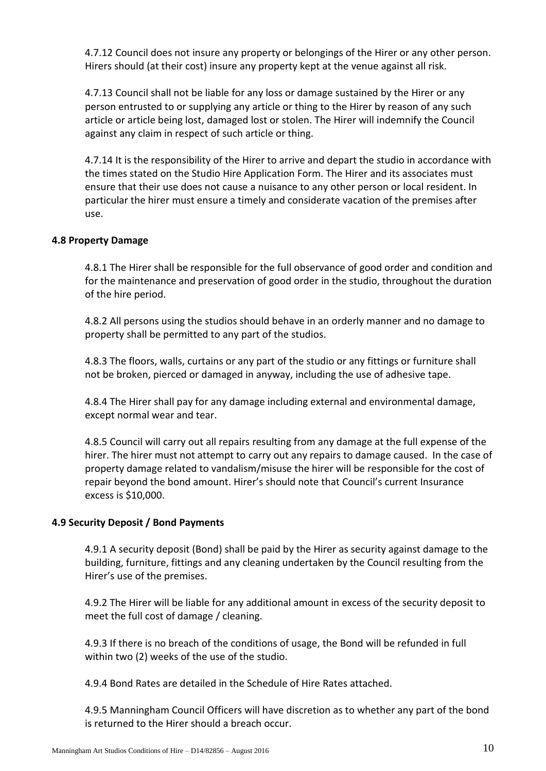4.7.12 Council does not insure any property or belongings of the Hirer or any other person. Hirers should (at their cost) insure any property kept at the venue against all risk.

4.7.13 Council shall not be liable for any loss or damage sustained by the Hirer or any person entrusted to or supplying any article or thing to the Hirer by reason of any such article or article being lost, damaged lost or stolen. The Hirer will indemnify the Council against any claim in respect of such article or thing.

4.7.14 It is the responsibility of the Hirer to arrive and depart the studio in accordance with the times stated on the Studio Hire Application Form. The Hirer and its associates must ensure that their use does not cause a nuisance to any other person or local resident. In particular the hirer must ensure a timely and considerate vacation of the premises after use.

#### <span id="page-9-0"></span>**4.8 Property Damage**

4.8.1 The Hirer shall be responsible for the full observance of good order and condition and for the maintenance and preservation of good order in the studio, throughout the duration of the hire period.

4.8.2 All persons using the studios should behave in an orderly manner and no damage to property shall be permitted to any part of the studios.

4.8.3 The floors, walls, curtains or any part of the studio or any fittings or furniture shall not be broken, pierced or damaged in anyway, including the use of adhesive tape.

4.8.4 The Hirer shall pay for any damage including external and environmental damage, except normal wear and tear.

4.8.5 Council will carry out all repairs resulting from any damage at the full expense of the hirer. The hirer must not attempt to carry out any repairs to damage caused. In the case of property damage related to vandalism/misuse the hirer will be responsible for the cost of repair beyond the bond amount. Hirer's should note that Council's current Insurance excess is \$10,000.

#### <span id="page-9-1"></span>**4.9 Security Deposit / Bond Payments**

4.9.1 A security deposit (Bond) shall be paid by the Hirer as security against damage to the building, furniture, fittings and any cleaning undertaken by the Council resulting from the Hirer's use of the premises.

4.9.2 The Hirer will be liable for any additional amount in excess of the security deposit to meet the full cost of damage / cleaning.

4.9.3 If there is no breach of the conditions of usage, the Bond will be refunded in full within two (2) weeks of the use of the studio.

4.9.4 Bond Rates are detailed in the Schedule of Hire Rates attached.

4.9.5 Manningham Council Officers will have discretion as to whether any part of the bond is returned to the Hirer should a breach occur.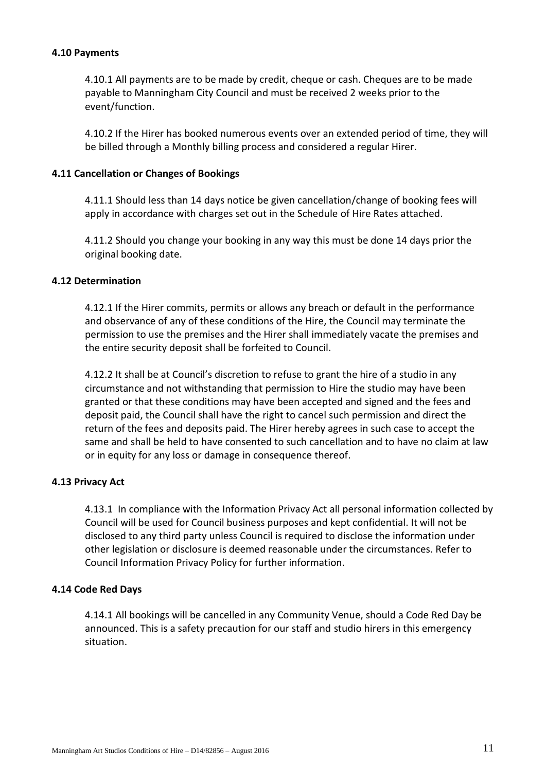#### <span id="page-10-0"></span>**4.10 Payments**

4.10.1 All payments are to be made by credit, cheque or cash. Cheques are to be made payable to Manningham City Council and must be received 2 weeks prior to the event/function.

4.10.2 If the Hirer has booked numerous events over an extended period of time, they will be billed through a Monthly billing process and considered a regular Hirer.

#### <span id="page-10-1"></span>**4.11 Cancellation or Changes of Bookings**

4.11.1 Should less than 14 days notice be given cancellation/change of booking fees will apply in accordance with charges set out in the Schedule of Hire Rates attached.

4.11.2 Should you change your booking in any way this must be done 14 days prior the original booking date.

#### <span id="page-10-2"></span>**4.12 Determination**

4.12.1 If the Hirer commits, permits or allows any breach or default in the performance and observance of any of these conditions of the Hire, the Council may terminate the permission to use the premises and the Hirer shall immediately vacate the premises and the entire security deposit shall be forfeited to Council.

4.12.2 It shall be at Council's discretion to refuse to grant the hire of a studio in any circumstance and not withstanding that permission to Hire the studio may have been granted or that these conditions may have been accepted and signed and the fees and deposit paid, the Council shall have the right to cancel such permission and direct the return of the fees and deposits paid. The Hirer hereby agrees in such case to accept the same and shall be held to have consented to such cancellation and to have no claim at law or in equity for any loss or damage in consequence thereof.

#### **4.13 Privacy Act**

4.13.1 In compliance with the Information Privacy Act all personal information collected by Council will be used for Council business purposes and kept confidential. It will not be disclosed to any third party unless Council is required to disclose the information under other legislation or disclosure is deemed reasonable under the circumstances. Refer to Council Information Privacy Policy for further information.

#### <span id="page-10-3"></span>**4.14 Code Red Days**

<span id="page-10-4"></span>4.14.1 All bookings will be cancelled in any Community Venue, should a Code Red Day be announced. This is a safety precaution for our staff and studio hirers in this emergency situation.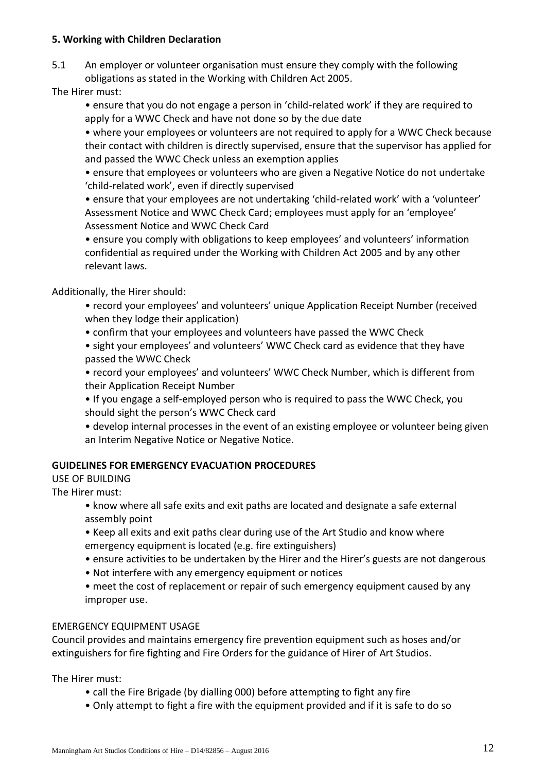#### **5. Working with Children Declaration**

5.1 An employer or volunteer organisation must ensure they comply with the following obligations as stated in the Working with Children Act 2005.

The Hirer must:

• ensure that you do not engage a person in 'child-related work' if they are required to apply for a WWC Check and have not done so by the due date

• where your employees or volunteers are not required to apply for a WWC Check because their contact with children is directly supervised, ensure that the supervisor has applied for and passed the WWC Check unless an exemption applies

• ensure that employees or volunteers who are given a Negative Notice do not undertake 'child-related work', even if directly supervised

• ensure that your employees are not undertaking 'child-related work' with a 'volunteer' Assessment Notice and WWC Check Card; employees must apply for an 'employee' Assessment Notice and WWC Check Card

• ensure you comply with obligations to keep employees' and volunteers' information confidential as required under the Working with Children Act 2005 and by any other relevant laws.

Additionally, the Hirer should:

- record your employees' and volunteers' unique Application Receipt Number (received when they lodge their application)
- confirm that your employees and volunteers have passed the WWC Check
- sight your employees' and volunteers' WWC Check card as evidence that they have passed the WWC Check
- record your employees' and volunteers' WWC Check Number, which is different from their Application Receipt Number
- If you engage a self-employed person who is required to pass the WWC Check, you should sight the person's WWC Check card
- develop internal processes in the event of an existing employee or volunteer being given an Interim Negative Notice or Negative Notice.

#### <span id="page-11-0"></span>**GUIDELINES FOR EMERGENCY EVACUATION PROCEDURES**

#### USE OF BUILDING

The Hirer must:

- know where all safe exits and exit paths are located and designate a safe external assembly point
- Keep all exits and exit paths clear during use of the Art Studio and know where emergency equipment is located (e.g. fire extinguishers)
- ensure activities to be undertaken by the Hirer and the Hirer's guests are not dangerous
- Not interfere with any emergency equipment or notices
- meet the cost of replacement or repair of such emergency equipment caused by any improper use.

#### <span id="page-11-1"></span>EMERGENCY EQUIPMENT USAGE

Council provides and maintains emergency fire prevention equipment such as hoses and/or extinguishers for fire fighting and Fire Orders for the guidance of Hirer of Art Studios.

The Hirer must:

- call the Fire Brigade (by dialling 000) before attempting to fight any fire
- Only attempt to fight a fire with the equipment provided and if it is safe to do so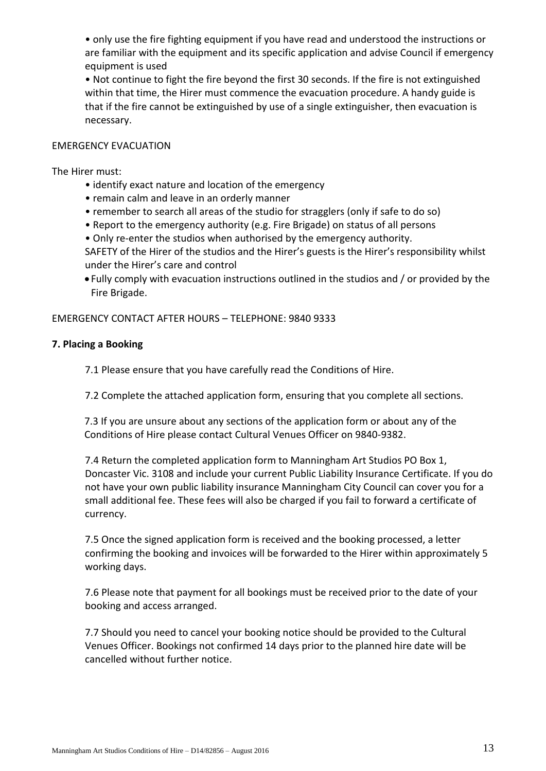• only use the fire fighting equipment if you have read and understood the instructions or are familiar with the equipment and its specific application and advise Council if emergency equipment is used

• Not continue to fight the fire beyond the first 30 seconds. If the fire is not extinguished within that time, the Hirer must commence the evacuation procedure. A handy guide is that if the fire cannot be extinguished by use of a single extinguisher, then evacuation is necessary.

#### <span id="page-12-0"></span>EMERGENCY EVACUATION

The Hirer must:

- identify exact nature and location of the emergency
- remain calm and leave in an orderly manner
- remember to search all areas of the studio for stragglers (only if safe to do so)
- Report to the emergency authority (e.g. Fire Brigade) on status of all persons
- Only re-enter the studios when authorised by the emergency authority.

SAFETY of the Hirer of the studios and the Hirer's guests is the Hirer's responsibility whilst under the Hirer's care and control

 Fully comply with evacuation instructions outlined in the studios and / or provided by the Fire Brigade.

#### <span id="page-12-1"></span>EMERGENCY CONTACT AFTER HOURS – TELEPHONE: 9840 9333

#### **7. Placing a Booking**

7.1 Please ensure that you have carefully read the Conditions of Hire.

7.2 Complete the attached application form, ensuring that you complete all sections.

7.3 If you are unsure about any sections of the application form or about any of the Conditions of Hire please contact Cultural Venues Officer on 9840-9382.

7.4 Return the completed application form to Manningham Art Studios PO Box 1, Doncaster Vic. 3108 and include your current Public Liability Insurance Certificate. If you do not have your own public liability insurance Manningham City Council can cover you for a small additional fee. These fees will also be charged if you fail to forward a certificate of currency.

7.5 Once the signed application form is received and the booking processed, a letter confirming the booking and invoices will be forwarded to the Hirer within approximately 5 working days.

7.6 Please note that payment for all bookings must be received prior to the date of your booking and access arranged.

7.7 Should you need to cancel your booking notice should be provided to the Cultural Venues Officer. Bookings not confirmed 14 days prior to the planned hire date will be cancelled without further notice.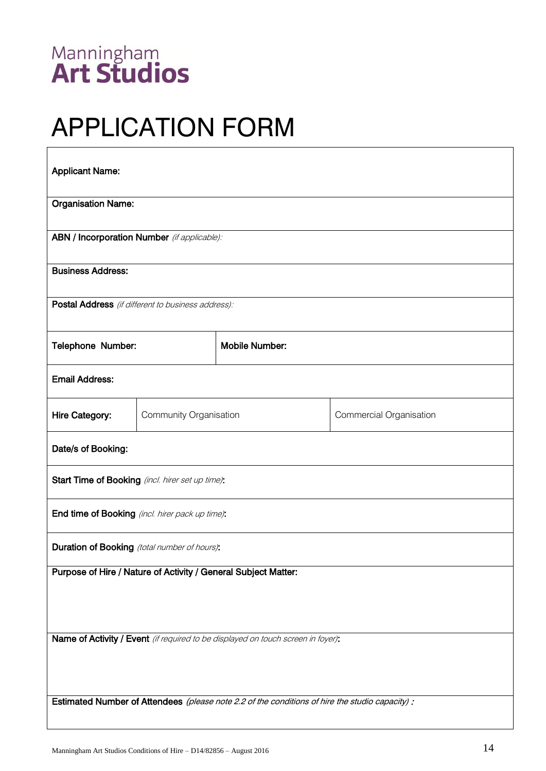# Manningham<br>**Art Studios**

# APPLICATION FORM

| <b>Applicant Name:</b>                                                                                                                                                             |                        |                         |  |  |
|------------------------------------------------------------------------------------------------------------------------------------------------------------------------------------|------------------------|-------------------------|--|--|
| <b>Organisation Name:</b>                                                                                                                                                          |                        |                         |  |  |
| <b>ABN / Incorporation Number</b> (if applicable):                                                                                                                                 |                        |                         |  |  |
| <b>Business Address:</b>                                                                                                                                                           |                        |                         |  |  |
| Postal Address (if different to business address):                                                                                                                                 |                        |                         |  |  |
| Telephone Number:                                                                                                                                                                  | <b>Mobile Number:</b>  |                         |  |  |
| <b>Email Address:</b>                                                                                                                                                              |                        |                         |  |  |
| Hire Category:                                                                                                                                                                     | Community Organisation | Commercial Organisation |  |  |
| Date/s of Booking:                                                                                                                                                                 |                        |                         |  |  |
| <b>Start Time of Booking</b> (incl. hirer set up time):                                                                                                                            |                        |                         |  |  |
| End time of Booking (incl. hirer pack up time):                                                                                                                                    |                        |                         |  |  |
| <b>Duration of Booking</b> (total number of hours):                                                                                                                                |                        |                         |  |  |
| Purpose of Hire / Nature of Activity / General Subject Matter:                                                                                                                     |                        |                         |  |  |
| Name of Activity / Event (if required to be displayed on touch screen in foyer):<br>Estimated Number of Attendees (please note 2.2 of the conditions of hire the studio capacity): |                        |                         |  |  |